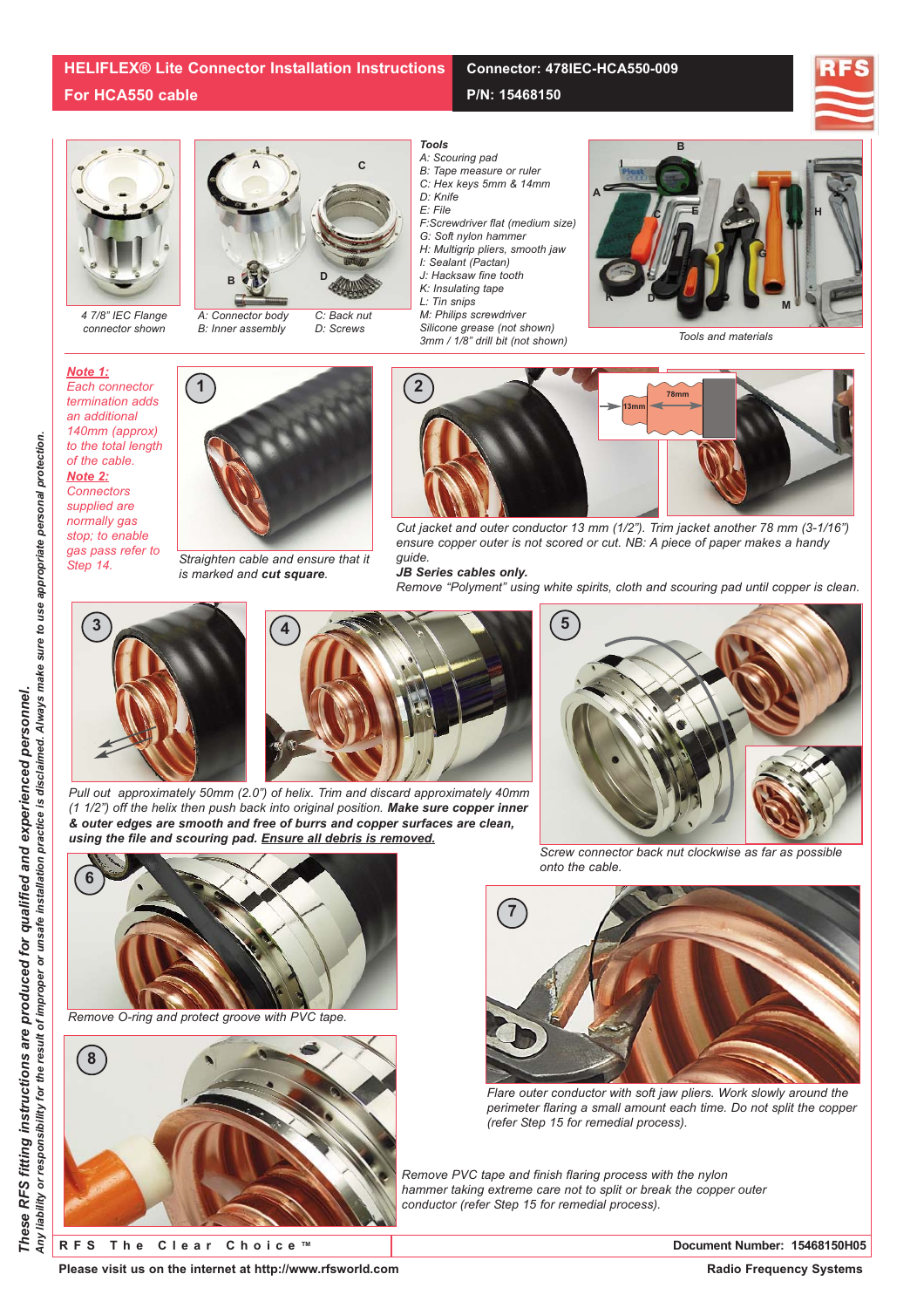## **Connector: 478IEC-HCA550-009**

**P/N: 15468150**





*4 7/8" IEC Flange connector shown*



*A: Connector body B: Inner assembly C: Back nut D: Screws*



- *A: Scouring pad*
- *B: Tape measure or ruler*
- *C: Hex keys 5mm & 14mm*
- *D: Knife*
- *E: File*
- *F:Screwdriver flat (medium size)*
- *G: Soft nylon hammer*
- *H: Multigrip pliers, smooth jaw*
- *I: Sealant (Pactan) J: Hacksaw fine tooth*
- *K: Insulating tape*
- *L: Tin snips*
- *M: Philips screwdriver*
- *Silicone grease (not shown) 3mm / 1/8" drill bit (not shown)*



*Note 1: Each connector termination adds an additional 140mm (approx) to the total length of the cable. Note 2: Connectors supplied are normally gas stop; to enable*

*gas pass refer to Step 14.*



*Straighten cable and ensure that it is marked and cut square.*



*Cut jacket and outer conductor 13 mm (1/2"). Trim jacket another 78 mm (3-1/16") ensure copper outer is not scored or cut. NB: A piece of paper makes a handy guide.* 

## *JB Series cables only.*

*Remove "Polyment" using white spirits, cloth and scouring pad until copper is clean.*





*Pull out approximately 50mm (2.0") of helix. Trim and discard approximately 40mm (1 1/2") off the helix then push back into original position. Make sure copper inner & outer edges are smooth and free of burrs and copper surfaces are clean, using the file and scouring pad. Ensure all debris is removed.*



*Remove O-ring and protect groove with PVC tape.*



*Screw connector back nut clockwise as far as possible onto the cable.*



*Flare outer conductor with soft jaw pliers. Work slowly around the perimeter flaring a small amount each time. Do not split the copper (refer Step 15 for remedial process).*

*Remove PVC tape and finish flaring process with the nylon hammer taking extreme care not to split or break the copper outer conductor (refer Step 15 for remedial process).*

**RFS The Clear Choice ™ Document Number: 15468150H05**